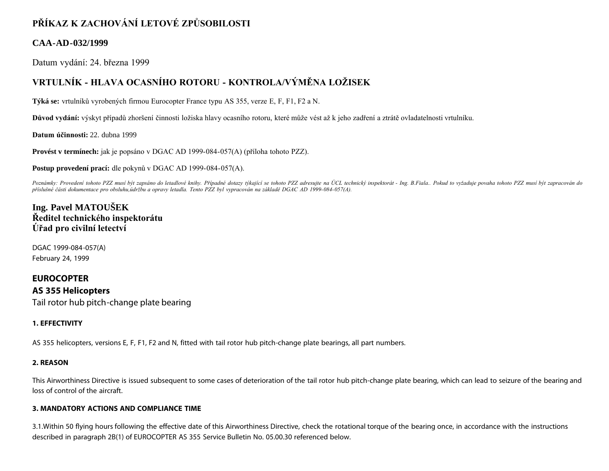# **PŘÍKAZ K ZACHOVÁNÍ LETOVÉ ZPŮSOBILOSTI**

### **CAA-AD-032/1999**

Datum vydání: 24. března 1999

## **VRTULNÍK - HLAVA OCASNÍHO ROTORU - KONTROLA/VÝMĚNA LOŽISEK**

**Týká se:** vrtulníků vyrobených firmou Eurocopter France typu AS 355, verze E, F, F1, F2 a N.

**Důvod vydání:** výskyt případů zhoršení činnosti ložiska hlavy ocasního rotoru, které může vést až k jeho zadření a ztrátě ovladatelnosti vrtulníku.

**Datum účinnosti:** 22. dubna 1999

**Provést v termínech:** jak je popsáno v DGAC AD 1999-084-057(A) (příloha tohoto PZZ).

**Postup provedení prací:** dle pokynů v DGAC AD 1999-084-057(A).

Poznámky: Provedení tohoto PZZ musí být zapsáno do letadlové knihy. Případné dotazy týkající se tohoto PZZ adresujte na ÚCL technický inspektorát - Ing. B.Fiala.. Pokud to vyžaduje povaha tohoto PZZ musí být zapracován do *příslušné části dokumentace pro obsluhu,údržbu a opravy letadla. Tento PZZ byl vypracován na základě DGAC AD 1999-084-057(A).*

### **Ing. Pavel MATOUŠEK Ředitel technického inspektorátu Úřad pro civilní letectví**

DGAC 1999-084-057(A) February 24, 1999

### **EUROCOPTER**

**AS 355 Helicopters** Tail rotor hub pitch-change plate bearing

#### **1. EFFECTIVITY**

AS 355 helicopters, versions E, F, F1, F2 and N, fitted with tail rotor hub pitch-change plate bearings, all part numbers.

#### **2. REASON**

This Airworthiness Directive is issued subsequent to some cases of deterioration of the tail rotor hub pitch-change plate bearing, which can lead to seizure of the bearing and loss of control of the aircraft.

#### **3. MANDATORY ACTIONS AND COMPLIANCE TIME**

3.1.Within 50 flying hours following the effective date of this Airworthiness Directive, check the rotational torque of the bearing once, in accordance with the instructions described in paragraph 2B(1) of EUROCOPTER AS 355 Service Bulletin No. 05.00.30 referenced below.